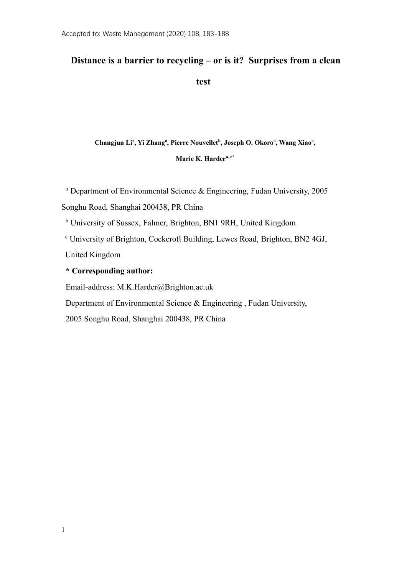# **Distance is a barrier to recycling – or is it? Surprises from a clean**

**test**

Changjun Li<sup>a</sup>, Yi Zhang<sup>a</sup>, Pierre Nouvellet<sup>b</sup>, Joseph O. Okoro<sup>a</sup>, Wang Xiao<sup>a</sup>,

**Marie K. Hardera, c\***

<sup>a</sup> Department of Environmental Science & Engineering, Fudan University, 2005

Songhu Road, Shanghai 200438, PR China

<sup>b</sup> University of Sussex, Falmer, Brighton, BN1 9RH, United Kingdom

<sup>c</sup> University of Brighton, Cockcroft Building, Lewes Road, Brighton, BN2 4GJ, United Kingdom

# **\* Corresponding author:**

Email-address: M.K.Harder@Brighton.ac.uk

Department of Environmental Science & Engineering , Fudan University,

2005 Songhu Road, Shanghai 200438, PR China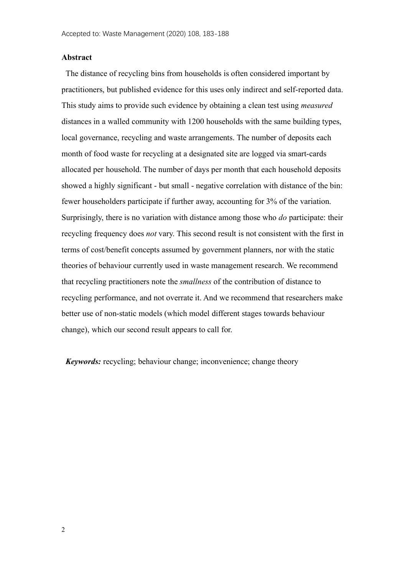### **Abstract**

The distance of recycling bins from households is often considered important by practitioners, but published evidence for this uses only indirect and self-reported data. This study aims to provide such evidence by obtaining a clean test using *measured* distances in a walled community with 1200 households with the same building types, local governance, recycling and waste arrangements. The number of deposits each month of food waste for recycling at a designated site are logged via smart-cards allocated per household. The number of days per month that each household deposits showed a highly significant - but small - negative correlation with distance of the bin: fewer householders participate if further away, accounting for 3% of the variation. Surprisingly, there is no variation with distance among those who *do* participate: their recycling frequency does *not* vary. This second result is not consistent with the first in terms of cost/benefit concepts assumed by government planners, nor with the static theories of behaviour currently used in waste management research. We recommend that recycling practitioners note the *smallness* of the contribution of distance to recycling performance, and not overrate it. And we recommend that researchers make better use of non-static models (which model different stages towards behaviour change), which our second result appears to call for.

*Keywords:* recycling; behaviour change; inconvenience; change theory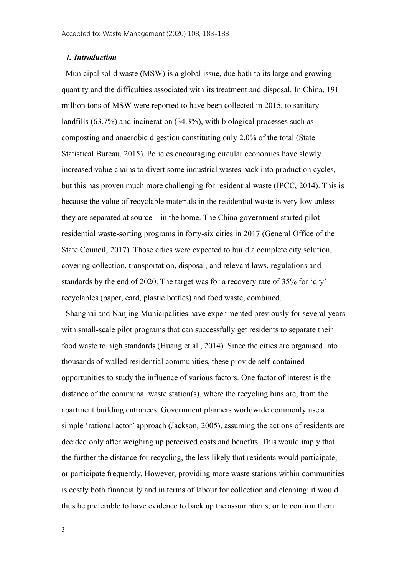### *1. Introduction*

Municipal solid waste (MSW) is a global issue, due both to its large and growing quantity and the difficulties associated with its treatment and disposal. In China, 191 million tons of MSW were reported to have been collected in 2015, to sanitary landfills (63.7%) and incineration (34.3%), with biological processes such as composting and anaerobic digestion constituting only 2.0% of the total [\(State](#page-14-0)  [Statistical Bureau, 2015\)](#page-14-0). Policies encouraging circular economies have slowly increased value chains to divert some industrial wastes back into production cycles, but this has proven much more challenging for residential waste (IPCC, 2014). This is because the value of recyclable materials in the residential waste is very low unless they are separated at source – in the home. The China government started pilot residential waste-sorting programs in forty-six cities in 2017 (General Office of the State Council, 2017). Those cities were expected to build a complete city solution, covering collection, transportation, disposal, and relevant laws, regulations and standards by the end of 2020. The target was for a recovery rate of 35% for 'dry' recyclables (paper, card, plastic bottles) and food waste, combined.

Shanghai and Nanjing Municipalities have experimented previously for several years with small-scale pilot programs that can successfully get residents to separate their food waste to high standards (Huang et al., 2014). Since the cities are organised into thousands of walled residential communities, these provide self-contained opportunities to study the influence of various factors. One factor of interest is the distance of the communal waste station(s), where the recycling bins are, from the apartment building entrances. Government planners worldwide commonly use a simple 'rational actor' approach (Jackson, 2005), assuming the actions of residents are decided only after weighing up perceived costs and benefits. This would imply that the further the distance for recycling, the less likely that residents would participate, or participate frequently. However, providing more waste stations within communities is costly both financially and in terms of labour for collection and cleaning: it would thus be preferable to have evidence to back up the assumptions, or to confirm them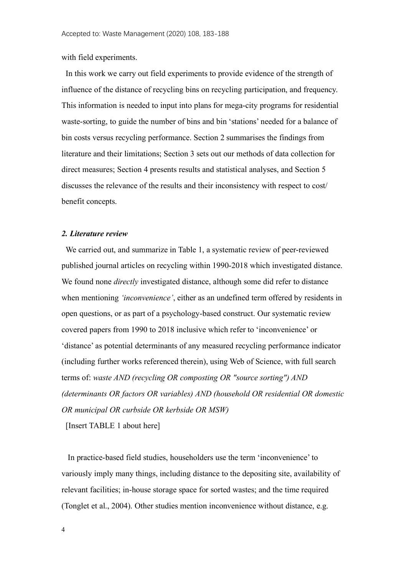with field experiments.

In this work we carry out field experiments to provide evidence of the strength of influence of the distance of recycling bins on recycling participation, and frequency. This information is needed to input into plans for mega-city programs for residential waste-sorting, to guide the number of bins and bin 'stations' needed for a balance of bin costs versus recycling performance. Section 2 summarises the findings from literature and their limitations; Section 3 sets out our methods of data collection for direct measures; Section 4 presents results and statistical analyses, and Section 5 discusses the relevance of the results and their inconsistency with respect to cost/ benefit concepts.

### *2. Literature review*

We carried out, and summarize in Table 1, a systematic review of peer-reviewed published journal articles on recycling within 1990-2018 which investigated distance. We found none *directly* investigated distance, although some did refer to distance when mentioning *'inconvenience'*, either as an undefined term offered by residents in open questions, or as part of a psychology-based construct. Our systematic review covered papers from 1990 to 2018 inclusive which refer to 'inconvenience' or 'distance' as potential determinants of any measured recycling performance indicator (including further works referenced therein), using Web of Science, with full search terms of: *waste AND (recycling OR composting OR "source sorting") AND (determinants OR factors OR variables) AND (household OR residential OR domestic OR municipal OR curbside OR kerbside OR MSW)*

[Insert TABLE 1 about here]

In practice-based field studies, householders use the term 'inconvenience' to variously imply many things, including distance to the depositing site, availability of relevant facilities; in-house storage space for sorted wastes; and the time required [\(Tonglet et al., 2004\)](#page-15-0). Other studies mention inconvenience without distance, e.g.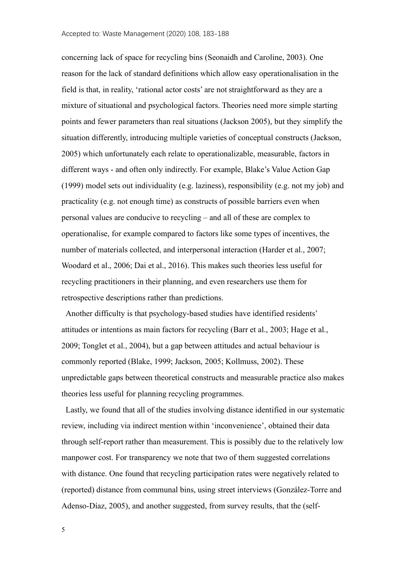concerning lack of space for recycling bins [\(Seonaidh and Caroline, 2003\)](#page-15-1). One reason for the lack of standard definitions which allow easy operationalisation in the field is that, in reality, 'rational actor costs' are not straightforward as they are a mixture of situational and psychological factors. Theories need more simple starting points and fewer parameters than real situations (Jackson 2005), but they simplify the situation differently, introducing multiple varieties of conceptual constructs (Jackson, 2005) which unfortunately each relate to operationalizable, measurable, factors in different ways - and often only indirectly. For example, Blake's Value Action Gap (1999) model sets out individuality (e.g. laziness), responsibility (e.g. not my job) and practicality (e.g. not enough time) as constructs of possible barriers even when personal values are conducive to recycling – and all of these are complex to operationalise, for example compared to factors like some types of incentives, the number of materials collected, and interpersonal interaction (Harder et al., 2007; Woodard et al., 2006; Dai et al., 2016). This makes such theories less useful for recycling practitioners in their planning, and even researchers use them for retrospective descriptions rather than predictions.

Another difficulty is that psychology-based studies have identified residents' attitudes or intentions as main factors for recycling [\(Barr et al., 2003;](#page-12-0) [Hage et al.,](#page-13-0)  [2009;](#page-13-0) [Tonglet et al., 2004\)](#page-15-0), but a gap between attitudes and actual behaviour is commonly reported [\(Blake, 1999;](#page-12-1) [Jackson, 2005;](#page-14-1) [Kollmuss, 2002\)](#page-14-2). These unpredictable gaps between theoretical constructs and measurable practice also makes theories less useful for planning recycling programmes.

Lastly, we found that all of the studies involving distance identified in our systematic review, including via indirect mention within 'inconvenience', obtained their data through self-report rather than measurement. This is possibly due to the relatively low manpower cost. For transparency we note that two of them suggested correlations with distance. One found that recycling participation rates were negatively related to (reported) distance from communal bins, using street interviews [\(González-Torre and](#page-13-1)  [Adenso-Díaz, 2005\)](#page-13-1), and another suggested, from survey results, that the (self-

5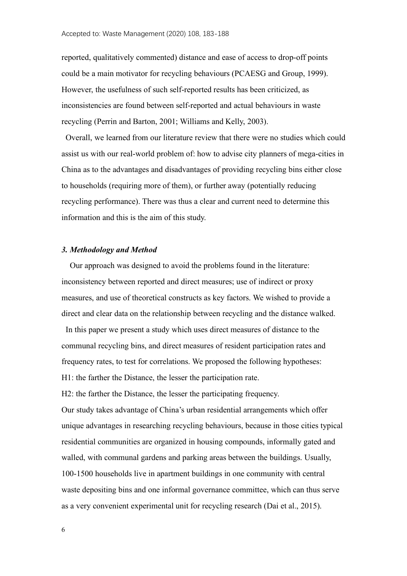reported, qualitatively commented) distance and ease of access to drop-off points could be a main motivator for recycling behaviours [\(PCAESG and Group, 1999\)](#page-14-0). However, the usefulness of such self-reported results has been criticized, as inconsistencies are found between self-reported and actual behaviours in waste recycling [\(Perrin and Barton, 2001;](#page-14-3) [Williams and Kelly, 2003\)](#page-15-2).

Overall, we learned from our literature review that there were no studies which could assist us with our real-world problem of: how to advise city planners of mega-cities in China as to the advantages and disadvantages of providing recycling bins either close to households (requiring more of them), or further away (potentially reducing recycling performance). There was thus a clear and current need to determine this information and this is the aim of this study.

#### *3. Methodology and Method*

 Our approach was designed to avoid the problems found in the literature: inconsistency between reported and direct measures; use of indirect or proxy measures, and use of theoretical constructs as key factors. We wished to provide a direct and clear data on the relationship between recycling and the distance walked.

In this paper we present a study which uses direct measures of distance to the communal recycling bins, and direct measures of resident participation rates and frequency rates, to test for correlations. We proposed the following hypotheses: H1: the farther the Distance, the lesser the participation rate.

H2: the farther the Distance, the lesser the participating frequency. Our study takes advantage of China's urban residential arrangements which offer unique advantages in researching recycling behaviours, because in those cities typical residential communities are organized in housing compounds, informally gated and walled, with communal gardens and parking areas between the buildings. Usually, 100-1500 households live in apartment buildings in one community with central waste depositing bins and one informal governance committee, which can thus serve as a very convenient experimental unit for recycling research [\(Dai et al., 2015\)](#page-13-2).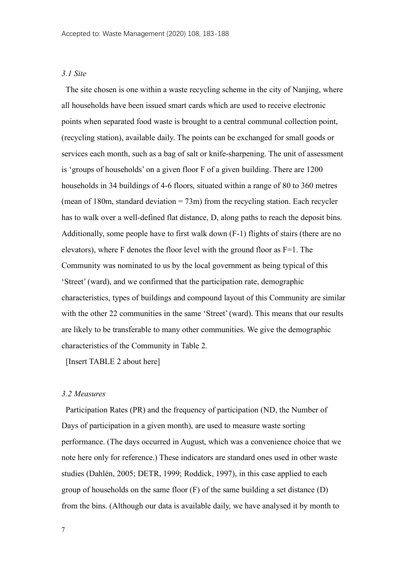# *3.1 Site*

The site chosen is one within a waste recycling scheme in the city of Nanjing, where all households have been issued smart cards which are used to receive electronic points when separated food waste is brought to a central communal collection point, (recycling station), available daily. The points can be exchanged for small goods or services each month, such as a bag of salt or knife-sharpening. The unit of assessment is 'groups of households' on a given floor F of a given building. There are 1200 households in 34 buildings of 4-6 floors, situated within a range of 80 to 360 metres (mean of 180m, standard deviation  $= 73$ m) from the recycling station. Each recycler has to walk over a well-defined flat distance, D, along paths to reach the deposit bins. Additionally, some people have to first walk down (F-1) flights of stairs (there are no elevators), where F denotes the floor level with the ground floor as  $F=1$ . The Community was nominated to us by the local government as being typical of this 'Street' (ward), and we confirmed that the participation rate, demographic characteristics, types of buildings and compound layout of this Community are similar with the other 22 communities in the same 'Street' (ward). This means that our results are likely to be transferable to many other communities. We give the demographic characteristics of the Community in Table 2.

[Insert TABLE 2 about here]

### *3.2 Measures*

Participation Rates (PR) and the frequency of participation (ND, the Number of Days of participation in a given month), are used to measure waste sorting performance. (The days occurred in August, which was a convenience choice that we note here only for reference.) These indicators are standard ones used in other waste studies [\(Dahlén, 2005;](#page-13-3) DETR, 1999; [Roddick, 1997\)](#page-14-4), in this case applied to each group of households on the same floor (F) of the same building a set distance (D) from the bins. (Although our data is available daily, we have analysed it by month to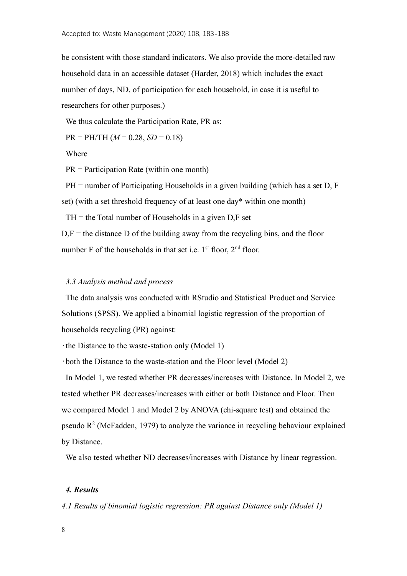be consistent with those standard indicators. We also provide the more-detailed raw household data in an accessible dataset (Harder, 2018) which includes the exact number of days, ND, of participation for each household, in case it is useful to researchers for other purposes.)

We thus calculate the Participation Rate, PR as:

 $PR = PH/TH (M = 0.28, SD = 0.18)$ 

Where

PR = Participation Rate (within one month)

PH = number of Participating Households in a given building (which has a set D, F set) (with a set threshold frequency of at least one day\* within one month)

 $TH =$  the Total number of Households in a given D,F set

 $D, F$  = the distance D of the building away from the recycling bins, and the floor number F of the households in that set i.e.  $1<sup>st</sup>$  floor,  $2<sup>nd</sup>$  floor.

### *3.3 Analysis method and process*

The data analysis was conducted with RStudio and Statistical Product and Service Solutions (SPSS). We applied a binomial logistic regression of the proportion of households recycling (PR) against:

•the Distance to the waste-station only (Model 1)

•both the Distance to the waste-station and the Floor level (Model 2)

In Model 1, we tested whether PR decreases/increases with Distance. In Model 2, we tested whether PR decreases/increases with either or both Distance and Floor. Then we compared Model 1 and Model 2 by ANOVA (chi-square test) and obtained the pseudo  $R<sup>2</sup>$  (McFadden, 1979) to analyze the variance in recycling behaviour explained by Distance.

We also tested whether ND decreases/increases with Distance by linear regression.

# *4. Results*

*4.1 Results of binomial logistic regression: PR against Distance only (Model 1)*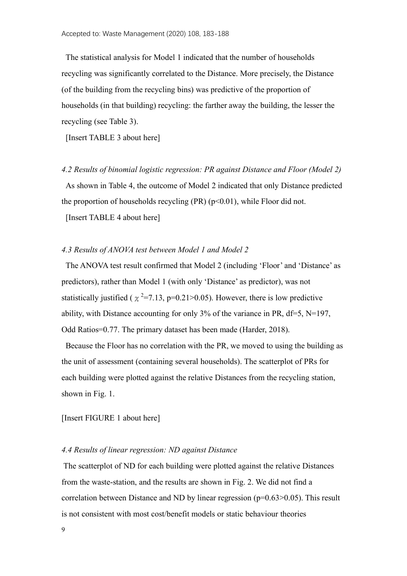The statistical analysis for Model 1 indicated that the number of households recycling was significantly correlated to the Distance. More precisely, the Distance (of the building from the recycling bins) was predictive of the proportion of households (in that building) recycling: the farther away the building, the lesser the recycling (see Table 3).

[Insert TABLE 3 about here]

*4.2 Results of binomial logistic regression: PR against Distance and Floor (Model 2)*

As shown in Table 4, the outcome of Model 2 indicated that only Distance predicted the proportion of households recycling  $(PR)$  ( $p<0.01$ ), while Floor did not.

[Insert TABLE 4 about here]

### *4.3 Results of ANOVA test between Model 1 and Model 2*

The ANOVA test result confirmed that Model 2 (including 'Floor' and 'Distance' as predictors), rather than Model 1 (with only 'Distance' as predictor), was not statistically justified ( $\chi^2$ =7.13, p=0.21>0.05). However, there is low predictive ability, with Distance accounting for only 3% of the variance in PR, df=5, N=197, Odd Ratios=0.77. The primary dataset has been made (Harder, 2018).

Because the Floor has no correlation with the PR, we moved to using the building as the unit of assessment (containing several households). The scatterplot of PRs for each building were plotted against the relative Distances from the recycling station, shown in Fig. 1.

[Insert FIGURE 1 about here]

## *4.4 Results of linear regression: ND against Distance*

The scatterplot of ND for each building were plotted against the relative Distances from the waste-station, and the results are shown in Fig. 2. We did not find a correlation between Distance and ND by linear regression (p=0.63>0.05). This result is not consistent with most cost/benefit models or static behaviour theories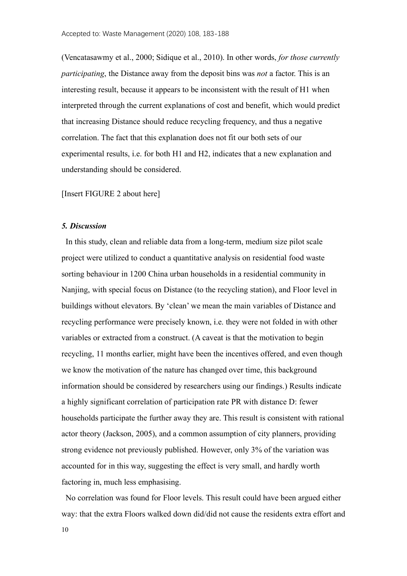(Vencatasawmy et al., 2000; Sidique et al., 2010). In other words, *for those currently participating*, the Distance away from the deposit bins was *not* a factor. This is an interesting result, because it appears to be inconsistent with the result of H1 when interpreted through the current explanations of cost and benefit, which would predict that increasing Distance should reduce recycling frequency, and thus a negative correlation. The fact that this explanation does not fit our both sets of our experimental results, i.e. for both H1 and H2, indicates that a new explanation and understanding should be considered.

[Insert FIGURE 2 about here]

#### *5. Discussion*

In this study, clean and reliable data from a long-term, medium size pilot scale project were utilized to conduct a quantitative analysis on residential food waste sorting behaviour in 1200 China urban households in a residential community in Nanjing, with special focus on Distance (to the recycling station), and Floor level in buildings without elevators. By 'clean' we mean the main variables of Distance and recycling performance were precisely known, i.e. they were not folded in with other variables or extracted from a construct. (A caveat is that the motivation to begin recycling, 11 months earlier, might have been the incentives offered, and even though we know the motivation of the nature has changed over time, this background information should be considered by researchers using our findings.) Results indicate a highly significant correlation of participation rate PR with distance D: fewer households participate the further away they are. This result is consistent with rational actor theory (Jackson, 2005), and a common assumption of city planners, providing strong evidence not previously published. However, only 3% of the variation was accounted for in this way, suggesting the effect is very small, and hardly worth factoring in, much less emphasising.

No correlation was found for Floor levels. This result could have been argued either way: that the extra Floors walked down did/did not cause the residents extra effort and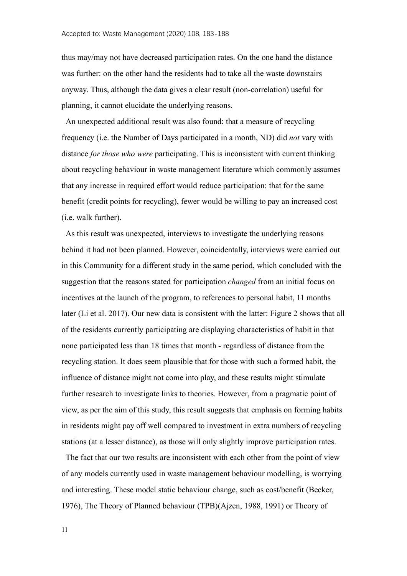thus may/may not have decreased participation rates. On the one hand the distance was further: on the other hand the residents had to take all the waste downstairs anyway. Thus, although the data gives a clear result (non-correlation) useful for planning, it cannot elucidate the underlying reasons.

An unexpected additional result was also found: that a measure of recycling frequency (i.e. the Number of Days participated in a month, ND) did *not* vary with distance *for those who were* participating. This is inconsistent with current thinking about recycling behaviour in waste management literature which commonly assumes that any increase in required effort would reduce participation: that for the same benefit (credit points for recycling), fewer would be willing to pay an increased cost (i.e. walk further).

As this result was unexpected, interviews to investigate the underlying reasons behind it had not been planned. However, coincidentally, interviews were carried out in this Community for a different study in the same period, which concluded with the suggestion that the reasons stated for participation *changed* from an initial focus on incentives at the launch of the program, to references to personal habit, 11 months later (Li et al. 2017). Our new data is consistent with the latter: Figure 2 shows that all of the residents currently participating are displaying characteristics of habit in that none participated less than 18 times that month - regardless of distance from the recycling station. It does seem plausible that for those with such a formed habit, the influence of distance might not come into play, and these results might stimulate further research to investigate links to theories. However, from a pragmatic point of view, as per the aim of this study, this result suggests that emphasis on forming habits in residents might pay off well compared to investment in extra numbers of recycling stations (at a lesser distance), as those will only slightly improve participation rates.

The fact that our two results are inconsistent with each other from the point of view of any models currently used in waste management behaviour modelling, is worrying and interesting. These model static behaviour change, such as cost/benefit [\(Becker,](#page-12-2)  [1976\)](#page-12-2), The Theory of Planned behaviour (TPB)[\(Ajzen, 1988,](#page-12-3) [1991\)](#page-12-4) or Theory of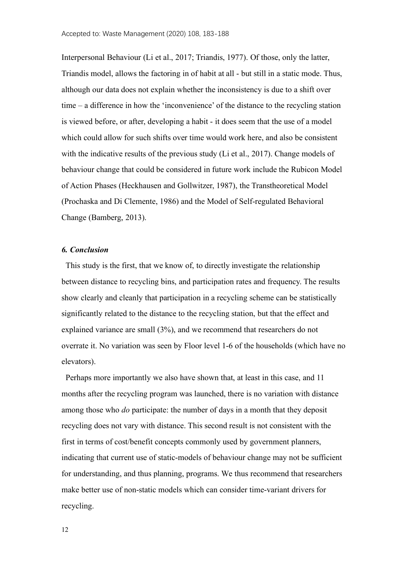Interpersonal Behaviour [\(Li et al., 2017;](#page-14-5) [Triandis, 1977\)](#page-15-3). Of those, only the latter, Triandis model, allows the factoring in of habit at all - but still in a static mode. Thus, although our data does not explain whether the inconsistency is due to a shift over time – a difference in how the 'inconvenience' of the distance to the recycling station is viewed before, or after, developing a habit - it does seem that the use of a model which could allow for such shifts over time would work here, and also be consistent with the indicative results of the previous study (Li et al., 2017). Change models of behaviour change that could be considered in future work include the Rubicon Model of Action Phases (Heckhausen and Gollwitzer, 1987), the Transtheoretical Model (Prochaska and Di Clemente, 1986) and the Model of Self-regulated Behavioral Change (Bamberg, 2013).

#### *6. Conclusion*

This study is the first, that we know of, to directly investigate the relationship between distance to recycling bins, and participation rates and frequency. The results show clearly and cleanly that participation in a recycling scheme can be statistically significantly related to the distance to the recycling station, but that the effect and explained variance are small (3%), and we recommend that researchers do not overrate it. No variation was seen by Floor level 1-6 of the households (which have no elevators).

Perhaps more importantly we also have shown that, at least in this case, and 11 months after the recycling program was launched, there is no variation with distance among those who *do* participate: the number of days in a month that they deposit recycling does not vary with distance. This second result is not consistent with the first in terms of cost/benefit concepts commonly used by government planners, indicating that current use of static-models of behaviour change may not be sufficient for understanding, and thus planning, programs. We thus recommend that researchers make better use of non-static models which can consider time-variant drivers for recycling.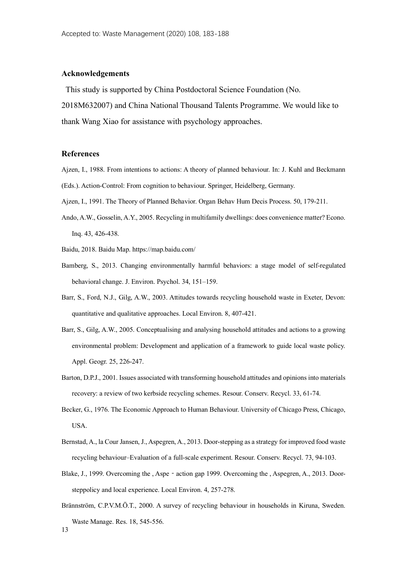### **Acknowledgements**

This study is supported by China Postdoctoral Science Foundation (No.

2018M632007) and China National Thousand Talents Programme. We would like to thank Wang Xiao for assistance with psychology approaches.

### **References**

- <span id="page-12-3"></span>Ajzen, I., 1988. From intentions to actions: A theory of planned behaviour. In: J. Kuhl and Beckmann (Eds.). Action-Control: From cognition to behaviour. Springer, Heidelberg, Germany.
- <span id="page-12-4"></span>Ajzen, I., 1991. The Theory of Planned Behavior. Organ Behav Hum Decis Process. 50, 179-211.
- Ando, A.W., Gosselin, A.Y., 2005. Recycling in multifamily dwellings: does convenience matter? Econo. Inq. 43, 426-438.
- Baidu, 2018. Baidu Map. https://map.baidu.com/
- <span id="page-12-0"></span>Bamberg, S., 2013. Changing environmentally harmful behaviors: a stage model of self-regulated behavioral change. J. Environ. Psychol. 34, 151–159.
- Barr, S., Ford, N.J., Gilg, A.W., 2003. Attitudes towards recycling household waste in Exeter, Devon: quantitative and qualitative approaches. Local Environ. 8, 407-421.
- Barr, S., Gilg, A.W., 2005. Conceptualising and analysing household attitudes and actions to a growing environmental problem: Development and application of a framework to guide local waste policy. Appl. Geogr. 25, 226-247.
- Barton, D.P.J., 2001. Issues associated with transforming household attitudes and opinions into materials recovery: a review of two kerbside recycling schemes. Resour. Conserv. Recycl. 33, 61-74.
- <span id="page-12-2"></span>Becker, G., 1976. The Economic Approach to Human Behaviour. University of Chicago Press, Chicago, USA.
- Bernstad, A., la Cour Jansen, J., Aspegren, A., 2013. Door-stepping as a strategy for improved food waste recycling behaviour–Evaluation of a full-scale experiment. Resour. Conserv. Recycl. 73, 94-103.
- <span id="page-12-1"></span>Blake, J., 1999. Overcoming the , Aspe - action gap 1999. Overcoming the , Aspegren, A., 2013. Doorsteppolicy and local experience. Local Environ. 4, 257-278.
- 13 Brännström, C.P.V.M.Ö.T., 2000. A survey of recycling behaviour in households in Kiruna, Sweden. Waste Manage. Res. 18, 545-556.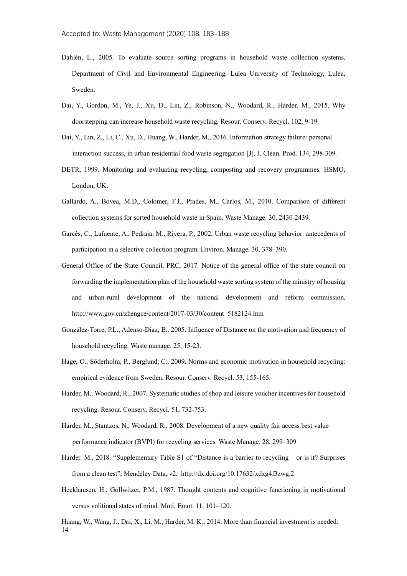- <span id="page-13-3"></span>Dahlén, L., 2005. To evaluate source sorting programs in household waste collection systems. Department of Civil and Environmental Engineering. Lulea University of Technology, Lulea, Sweden.
- <span id="page-13-2"></span>Dai, Y., Gordon, M., Ye, J., Xu, D., Lin, Z., Robinson, N., Woodard, R., Harder, M., 2015. Why doorstepping can increase household waste recycling. Resour. Conserv. Recycl. 102, 9-19.
- Dai, Y., Lin, Z., Li, C., Xu, D., Huang, W., Harder, M., 2016. Information strategy failure: personal interaction success, in urban residential food waste segregation [J]. J. Clean. Prod. 134, 298-309.
- DETR, 1999. Monitoring and evaluating recycling, composting and recovery programmes. HSMO, London, UK.
- Gallardo, A., Bovea, M.D., Colomer, F.J., Prades, M., Carlos, M., 2010. Comparison of different collection systems for sorted household waste in Spain. Waste Manage. 30, 2430-2439.
- <span id="page-13-1"></span>Garcés, C., Lafuente, A., Pedraja, M., Rivera, P., 2002. Urban waste recycling behavior: antecedents of participation in a selective collection program. Environ. Manage. 30, 378–390.
- General Office of the State Council, PRC, 2017. Notice of the general office of the state council on forwarding the implementation plan of the household waste sorting system of the ministry of housing and urban-rural development of the national development and reform commission. http://www.gov.cn/zhengce/content/2017-03/30/content\_5182124.htm
- González-Torre, P.L., Adenso-Díaz, B., 2005. Influence of Distance on the motivation and frequency of household recycling. Waste manage. 25, 15-23.
- <span id="page-13-0"></span>Hage, O., Söderholm, P., Berglund, C., 2009. Norms and economic motivation in household recycling: empirical evidence from Sweden. Resour. Conserv. Recycl. 53, 155-165.
- Harder, M., Woodard, R., 2007. Systematic studies of shop and leisure voucher incentives for household recycling. Resour. Conserv. Recycl. 51, 732-753.
- Harder, M., Stantzos, N., Woodard, R., 2008. Development of a new quality fair access best value performance indicator (BVPI) for recycling services. Waste Manage. 28, 299–309
- Harder. M., 2018. "Supplementary Table S1 of "Distance is a barrier to recycling or is it? Surprises from a clean test", Mendeley Data, v2. http://dx.doi.org/10.17632/xdxg4f3zwg.2
- Heckhausen, H., Gollwitzer, P.M., 1987. Thought contents and cognitive functioning in motivational versus volitional states of mind. Moti. Emot. 11, 101–120.

14 Huang, W., Wang, J., Dai, X., Li, M., Harder, M. K., 2014. More than financial investment is needed: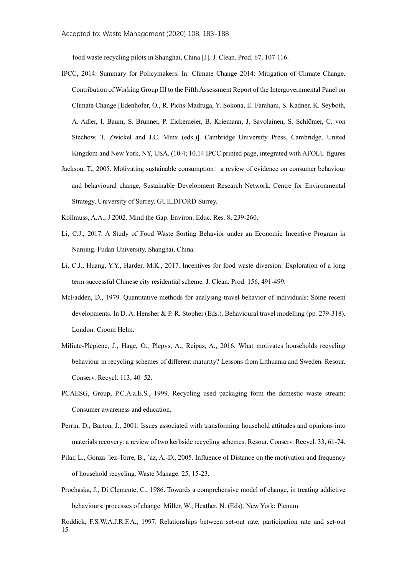food waste recycling pilots in Shanghai, China [J]. J. Clean. Prod. 67, 107-116.

- <span id="page-14-1"></span>IPCC, 2014: Summary for Policymakers. In: Climate Change 2014: Mitigation of Climate Change. Contribution of Working Group III to the Fifth Assessment Report of the Intergovernmental Panel on Climate Change [Edenhofer, O., R. Pichs-Madruga, Y. Sokona, E. Farahani, S. Kadner, K. Seyboth, A. Adler, I. Baum, S. Brunner, P. Eickemeier, B. Kriemann, J. Savolainen, S. Schlömer, C. von Stechow, T. Zwickel and J.C. Minx (eds.)]. Cambridge University Press, Cambridge, United Kingdom and New York, NY, USA. (10.4; 10.14 IPCC printed page, integrated with AFOLU figures
- Jackson, T., 2005. Motivating sustainable consumption: a review of evidence on consumer behaviour and behavioural change, Sustainable Development Research Network. Centre for Environmental Strategy, University of Surrey, GUILDFORD Surrey.
- <span id="page-14-2"></span>Kollmuss, A.A., J 2002. Mind the Gap. Environ. Educ. Res. 8, 239-260.
- Li, C.J., 2017. A Study of Food Waste Sorting Behavior under an Economic Incentive Program in Nanjing. Fudan University, Shanghai, China.
- <span id="page-14-5"></span>Li, C.J., Huang, Y.Y., Harder, M.K., 2017. Incentives for food waste diversion: Exploration of a long term successful Chinese city residential scheme. J. Clean. Prod. 156, 491-499.
- <span id="page-14-0"></span>McFadden, D., 1979. Quantitative methods for analysing travel behavior of individuals: Some recent developments. In D. A. Hensher & P. R. Stopher (Eds.), Behavioural travel modelling (pp. 279-318). London: Croom Helm.
- Miliute-Plepiene, J., Hage, O., Plepys, A., Reipas, A., 2016. What motivates households recycling behaviour in recycling schemes of different maturity? Lessons from Lithuania and Sweden. Resour. Conserv. Recycl. 113, 40–52.
- PCAESG, Group, P.C.A.a.E.S., 1999. Recycling used packaging form the domestic waste stream: Consumer awareness and education.
- <span id="page-14-3"></span>Perrin, D., Barton, J., 2001. Issues associated with transforming household attitudes and opinions into materials recovery: a review of two kerbside recycling schemes. Resour. Conserv. Recycl. 33, 61-74.
- Pilar, L., Gonza ´lez-Torre, B., ´az, A.-D., 2005. Influence of Distance on the motivation and frequency of household recycling. Waste Manage. 25, 15-23.
- <span id="page-14-4"></span>Prochaska, J., Di Clemente, C., 1986. Towards a comprehensive model of change, in treating addictive behaviours: processes of change. Miller, W., Heather, N. (Eds). New York: Plenum.

15 Roddick, F.S.W.A.J.R.F.A., 1997. Relationships between set-out rate, participation rate and set-out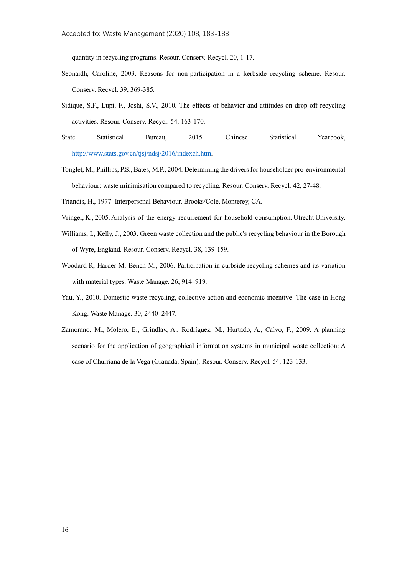quantity in recycling programs. Resour. Conserv. Recycl. 20, 1-17.

- <span id="page-15-1"></span>Seonaidh, Caroline, 2003. Reasons for non-participation in a kerbside recycling scheme. Resour. Conserv. Recycl. 39, 369-385.
- Sidique, S.F., Lupi, F., Joshi, S.V., 2010. The effects of behavior and attitudes on drop-off recycling activities. Resour. Conserv. Recycl. 54, 163-170.
- State Statistical Bureau, 2015. Chinese Statistical Yearbook, [http://www.stats.gov.cn/tjsj/ndsj/2016/indexch.htm.](http://www.stats.gov.cn/tjsj/ndsj/2016/indexch.htm)
- <span id="page-15-0"></span>Tonglet, M., Phillips, P.S., Bates, M.P., 2004. Determining the drivers for householder pro-environmental behaviour: waste minimisation compared to recycling. Resour. Conserv. Recycl. 42, 27-48.
- <span id="page-15-3"></span>Triandis, H., 1977. Interpersonal Behaviour. Brooks/Cole, Monterey, CA.
- Vringer, K., 2005. Analysis of the energy requirement for household consumption. Utrecht University.
- <span id="page-15-2"></span>Williams, I., Kelly, J., 2003. Green waste collection and the public's recycling behaviour in the Borough of Wyre, England. Resour. Conserv. Recycl. 38, 139-159.
- Woodard R, Harder M, Bench M., 2006. Participation in curbside recycling schemes and its variation with material types. Waste Manage. 26, 914–919.
- Yau, Y., 2010. Domestic waste recycling, collective action and economic incentive: The case in Hong Kong. Waste Manage. 30, 2440–2447.
- Zamorano, M., Molero, E., Grindlay, A., Rodríguez, M., Hurtado, A., Calvo, F., 2009. A planning scenario for the application of geographical information systems in municipal waste collection: A case of Churriana de la Vega (Granada, Spain). Resour. Conserv. Recycl. 54, 123-133.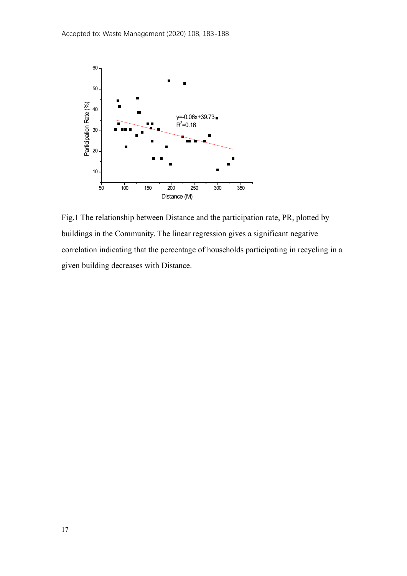

Fig.1 The relationship between Distance and the participation rate, PR, plotted by buildings in the Community. The linear regression gives a significant negative correlation indicating that the percentage of households participating in recycling in a given building decreases with Distance.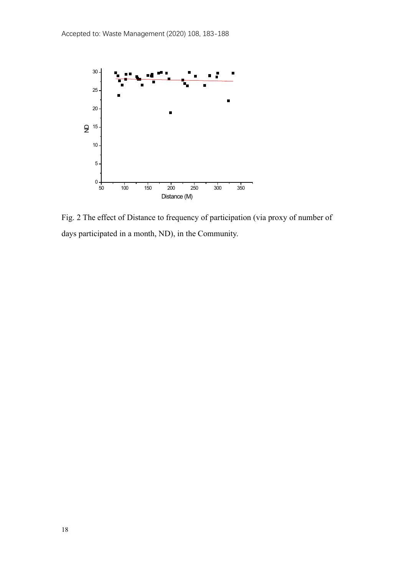

Fig. 2 The effect of Distance to frequency of participation (via proxy of number of days participated in a month, ND), in the Community.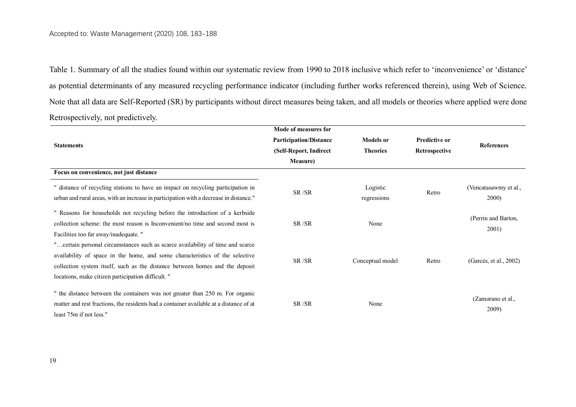Table 1. Summary of all the studies found within our systematic review from 1990 to 2018 inclusive which refer to 'inconvenience' or 'distance' as potential determinants of any measured recycling performance indicator (including further works referenced therein), using Web of Science. Note that all data are Self-Reported (SR) by participants without direct measures being taken, and all models or theories where applied were done Retrospectively, not predictively.

|                                                                                                                                                                                                                                                                                                      | Mode of measures for          |                         |                      |                                |
|------------------------------------------------------------------------------------------------------------------------------------------------------------------------------------------------------------------------------------------------------------------------------------------------------|-------------------------------|-------------------------|----------------------|--------------------------------|
|                                                                                                                                                                                                                                                                                                      | <b>Participation/Distance</b> | <b>Models</b> or        | <b>Predictive or</b> |                                |
| <b>Statements</b>                                                                                                                                                                                                                                                                                    | (Self-Report, Indirect        | <b>Theories</b>         | Retrospective        | <b>References</b>              |
|                                                                                                                                                                                                                                                                                                      | <b>Measure</b> )              |                         |                      |                                |
| Focus on convenience, not just distance                                                                                                                                                                                                                                                              |                               |                         |                      |                                |
| " distance of recycling stations to have an impact on recycling participation in<br>urban and rural areas, with an increase in participation with a decrease in distance."                                                                                                                           | SR/SR                         | Logistic<br>regressions | Retro                | (Vencatasawmy et al.,<br>2000) |
| " Reasons for households not recycling before the introduction of a kerbside<br>collection scheme: the most reason is Inconvenient/no time and second most is<br>Facilities too far away/inadequate. "                                                                                               | SR/SR                         | None                    |                      | (Perrin and Barton,<br>2001)   |
| "certain personal circumstances such as scarce availability of time and scarce<br>availability of space in the home, and some characteristics of the selective<br>collection system itself, such as the distance between homes and the deposit<br>locations, make citizen participation difficult. " | SR/SR                         | Conceptual model        | Retro                | (Garcés, et al., 2002)         |
| " the distance between the containers was not greater than 250 m. For organic<br>matter and rest fractions, the residents had a container available at a distance of at<br>least 75m if not less."                                                                                                   | SR/SR                         | None                    |                      | (Zamorano et al.,<br>2009)     |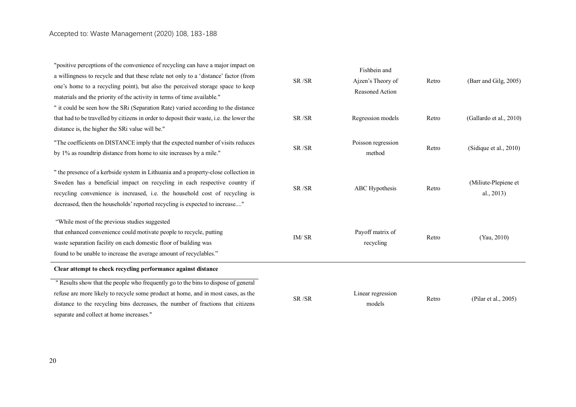"positive perceptions of the convenience of recycling can have a major impact on a willingness to recycle and that these relate not only to a 'distance' factor (from one's home to a recycling point), but also the perceived storage space to keep materials and the priority of the activity in terms of time available." SR /SR Fishbein and Ajzen's Theory of Reasoned Action Retro (Barr and Gilg, 2005) " it could be seen how the SRi (Separation Rate) varied according to the distance that had to be travelled by citizens in order to deposit their waste, i.e. the lower the distance is, the higher the SRi value will be." SR /SR Regression models Retro (Gallardo et al., 2010) "The coefficients on DISTANCE imply that the expected number of visits reduces by 1% as roundtrip distance from home to site increases by a mile." SR /SR Poisson regression method Retro (Sidique et al., 2010) " the presence of a kerbside system in Lithuania and a property-close collection in Sweden has a beneficial impact on recycling in each respective country if recycling convenience is increased, i.e. the household cost of recycling is decreased, then the households' reported recycling is expected to increase...." SR /SR ABC Hypothesis Retro (Miliute-Plepiene et al., 2013) "While most of the previous studies suggested that enhanced convenience could motivate people to recycle, putting waste separation facility on each domestic floor of building was found to be unable to increase the average amount of recyclables." IM/ SR Payoff matrix of recycling Retro (Yau, 2010) **Clear attempt to check recycling performance against distance** " Results show that the people who frequently go to the bins to dispose of general refuse are more likely to recycle some product at home, and in most cases, as the distance to the recycling bins decreases, the number of fractions that citizens SR /SR Linear regression models Retro (Pilar et al., 2005)

separate and collect at home increases."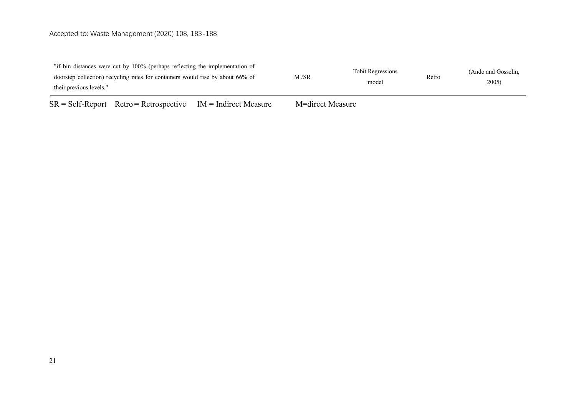# Accepted to: Waste Management (2020) 108, 183-188

| $CD = C_1(C_1D_1,\ldots,C_n)$ $D_1(\ldots,D_n)$ $D_2(\ldots,D_n)$ $D_3(\ldots,D_n)$ $D_4(\ldots,D_n)$ $D_5(\ldots,D_n)$ $D_6(\ldots,D_n)$ $D_7(\ldots,D_n)$ $D_8(\ldots,D_n)$ $D_9(\ldots,D_n)$ $D_1(\ldots,D_n)$ $D_1(\ldots,D_n)$ $D_2(\ldots,D_n)$ $D_3(\ldots,D_n)$ $D_5(\ldots,D_n)$ $D_6(\ldots,D_n)$ $D_7(\ldots,D_n)$ $D_8(\ldots,D_n$ | $\mathbf{M} = 1! \ldots 1 \mathbf{M}$ |       |                     |       |  |
|------------------------------------------------------------------------------------------------------------------------------------------------------------------------------------------------------------------------------------------------------------------------------------------------------------------------------------------------|---------------------------------------|-------|---------------------|-------|--|
| doorstep collection) recycling rates for containers would rise by about 66% of<br>their previous levels."                                                                                                                                                                                                                                      | M /SR                                 | model | Retro               | 2005) |  |
| "if bin distances were cut by 100% (perhaps reflecting the implementation of                                                                                                                                                                                                                                                                   | <b>Tobit Regressions</b>              |       | (Ando and Gosselin. |       |  |

 $SR = Self-Report$  Retro = Retrospective IM = Indirect Measure M=direct Measure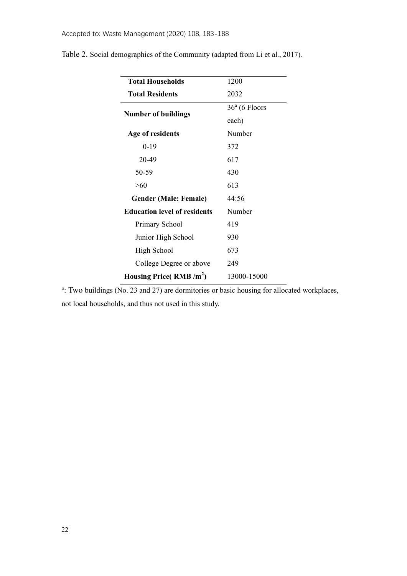| <b>Total Households</b>             | 1200            |
|-------------------------------------|-----------------|
| <b>Total Residents</b>              | 2032            |
| <b>Number of buildings</b>          | $36a$ (6 Floors |
|                                     | each)           |
| Age of residents                    | Number          |
| $0-19$                              | 372             |
| 20-49                               | 617             |
| 50-59                               | 430             |
| >60                                 | 613             |
| <b>Gender (Male: Female)</b>        | 44:56           |
| <b>Education level of residents</b> | Number          |
| Primary School                      | 419             |
| Junior High School                  | 930             |
| High School                         | 673             |
| College Degree or above             | 249             |
| Housing Price( $RMB/m2$ )           | 13000-15000     |

Table 2. Social demographics of the Community (adapted from Li et al., 2017).

<sup>a</sup>: Two buildings (No. 23 and 27) are dormitories or basic housing for allocated workplaces, not local households, and thus not used in this study.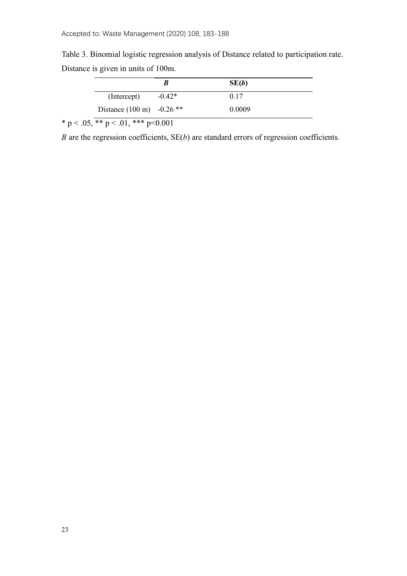Table 3. Binomial logistic regression analysis of Distance related to participation rate. Distance is given in units of 100m.

|                                     |          | SE(b)  |
|-------------------------------------|----------|--------|
| (Intercept)                         | $-0.42*$ | 0.17   |
| Distance $(100 \text{ m})$ -0.26 ** |          | 0.0009 |

\* p < .05,  $\overline{**}$  p < .01, \*\*\* p < 0.001

*B* are the regression coefficients, SE(*b*) are standard errors of regression coefficients.